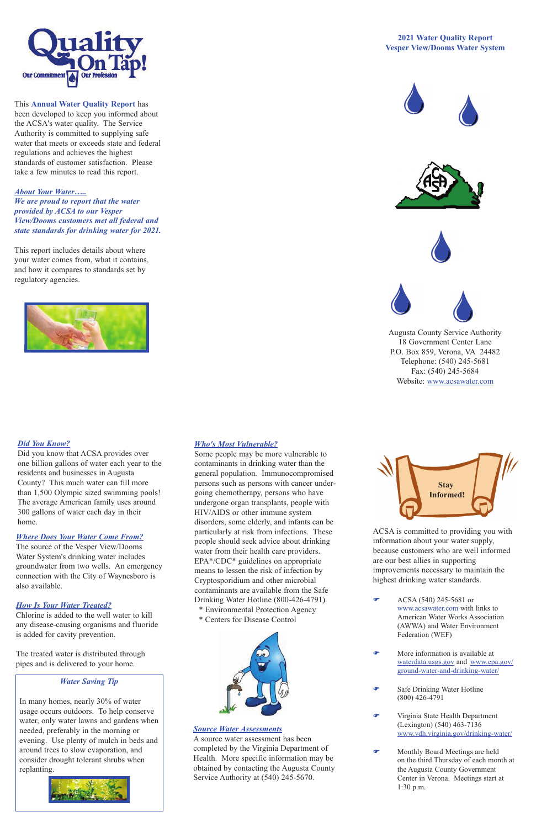## *Where Does Your Water Come From?*

The source of the Vesper View/Dooms Water System's drinking water includes groundwater from two wells. An emergency connection with the City of Waynesboro is also available.

#### *How Is Your Water Treated?*

Chlorine is added to the well water to kill any disease-causing organisms and fluoride is added for cavity prevention.

The treated water is distributed through pipes and is delivered to your home.

## *Who's Most Vulnerable?*

 $\bullet$  ACSA (540) 245-5681 or www.acsawater.com with links to American Water Works Association (AWWA) and Water Environment Federation (WEF)

Some people may be more vulnerable to contaminants in drinking water than the general population. Immunocompromised persons such as persons with cancer undergoing chemotherapy, persons who have undergone organ transplants, people with HIV/AIDS or other immune system disorders, some elderly, and infants can be particularly at risk from infections. These people should seek advice about drinking water from their health care providers. EPA\*/CDC\* guidelines on appropriate means to lessen the risk of infection by Cryptosporidium and other microbial contaminants are available from the Safe Drinking Water Hotline (800-426-4791). Environmental Protection Agency \* Centers for Disease Control

ACSA is committed to providing you with information about your water supply, because customers who are well informed are our best allies in supporting improvements necessary to maintain the highest drinking water standards.

- F More information is available at waterdata.usgs.gov and www.epa.gov/ ground-water-and-drinking-water/
- **F** Safe Drinking Water Hotline (800) 426-4791
- **F** Virginia State Health Department (Lexington) (540) 463-7136 www.vdh.virginia.gov/drinking-water/
- F Monthly Board Meetings are held on the third Thursday of each month at the Augusta County Government Center in Verona. Meetings start at 1:30 p.m.



This **Annual Water Quality Report** has been developed to keep you informed about the ACSA's water quality. The Service Authority is committed to supplying safe water that meets or exceeds state and federal regulations and achieves the highest standards of customer satisfaction. Please take a few minutes to read this report.

*About Your Water….. We are proud to report that the water provided by ACSA to our Vesper View/Dooms customers met all federal and state standards for drinking water for 2021.* 

This report includes details about where your water comes from, what it contains, and how it compares to standards set by regulatory agencies.



## **2021 Water Quality Report Vesper View/Dooms Water System**









Augusta County Service Authority 18 Government Center Lane P.O. Box 859, Verona, VA 24482 Telephone: (540) 245-5681 Fax: (540) 245-5684 Website: www.acsawater.com



*Source Water Assessments*

A source water assessment has been completed by the Virginia Department of Health. More specific information may be obtained by contacting the Augusta County Service Authority at (540) 245-5670.

# *Water Saving Tip*

In many homes, nearly 30% of water usage occurs outdoors. To help conserve water, only water lawns and gardens when needed, preferably in the morning or evening. Use plenty of mulch in beds and around trees to slow evaporation, and consider drought tolerant shrubs when replanting.





# *Did You Know?*

Did you know that ACSA provides over one billion gallons of water each year to the residents and businesses in Augusta County? This much water can fill more than 1,500 Olympic sized swimming pools! The average American family uses around 300 gallons of water each day in their home.